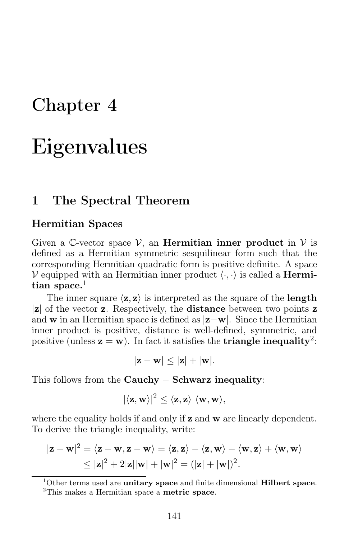# Chapter 4

# Eigenvalues

# 1 The Spectral Theorem

### Hermitian Spaces

Given a C-vector space  $\mathcal{V}$ , an **Hermitian inner product** in  $\mathcal{V}$  is defined as a Hermitian symmetric sesquilinear form such that the corresponding Hermitian quadratic form is positive definite. A space V equipped with an Hermitian inner product  $\langle \cdot, \cdot \rangle$  is called a **Hermi**tian space. $<sup>1</sup>$ </sup>

The inner square  $\langle z, z \rangle$  is interpreted as the square of the **length**  $|z|$  of the vector  $z$  . Respectively, the distance between two points  $\mathbf z$ and w in an Hermitian space is defined as |z−w|. Since the Hermitian inner product is positive, distance is well-defined, symmetric, and positive (unless  $z = w$ ). In fact it satisfies the **triangle inequality**<sup>2</sup>:

$$
|\mathbf{z}-\mathbf{w}|\leq |\mathbf{z}|+|\mathbf{w}|.
$$

This follows from the Cauchy  $-$  Schwarz inequality:

$$
|\langle \mathbf{z}, \mathbf{w} \rangle|^2 \leq \langle \mathbf{z}, \mathbf{z} \rangle \, \langle \mathbf{w}, \mathbf{w} \rangle,
$$

where the equality holds if and only if **z** and **w** are linearly dependent. To derive the triangle inequality, write:

$$
|\mathbf{z} - \mathbf{w}|^2 = \langle \mathbf{z} - \mathbf{w}, \mathbf{z} - \mathbf{w} \rangle = \langle \mathbf{z}, \mathbf{z} \rangle - \langle \mathbf{z}, \mathbf{w} \rangle - \langle \mathbf{w}, \mathbf{z} \rangle + \langle \mathbf{w}, \mathbf{w} \rangle
$$
  
\$\leq |\mathbf{z}|^2 + 2|\mathbf{z}||\mathbf{w}| + |\mathbf{w}|^2 = (|\mathbf{z}| + |\mathbf{w}|)^2\$.

<sup>1</sup>Other terms used are **unitary space** and finite dimensional **Hilbert space**.

<sup>2</sup>This makes a Hermitian space a metric space.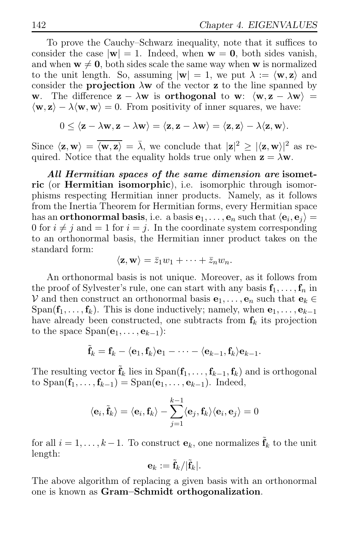To prove the Cauchy–Schwarz inequality, note that it suffices to consider the case  $|\mathbf{w}| = 1$ . Indeed, when  $\mathbf{w} = \mathbf{0}$ , both sides vanish, and when  $w \neq 0$ , both sides scale the same way when w is normalized to the unit length. So, assuming  $|\mathbf{w}| = 1$ , we put  $\lambda := \langle \mathbf{w}, \mathbf{z} \rangle$  and consider the **projection**  $\lambda$ **w** of the vector **z** to the line spanned by w. The difference  $\mathbf{z} - \lambda \mathbf{w}$  is **orthogonal** to w:  $\langle \mathbf{w}, \mathbf{z} - \lambda \mathbf{w} \rangle =$  $\langle \mathbf{w}, \mathbf{z} \rangle - \lambda \langle \mathbf{w}, \mathbf{w} \rangle = 0$ . From positivity of inner squares, we have:

$$
0 \leq \langle \mathbf{z} - \lambda \mathbf{w}, \mathbf{z} - \lambda \mathbf{w} \rangle = \langle \mathbf{z}, \mathbf{z} - \lambda \mathbf{w} \rangle = \langle \mathbf{z}, \mathbf{z} \rangle - \lambda \langle \mathbf{z}, \mathbf{w} \rangle.
$$

Since  $\langle z, w \rangle = \overline{\langle w, z \rangle} = \overline{\lambda}$ , we conclude that  $|z|^2 \ge |\langle z, w \rangle|^2$  as required. Notice that the equality holds true only when  $z = \lambda w$ .

All Hermitian spaces of the same dimension are isometric (or Hermitian isomorphic), i.e. isomorphic through isomorphisms respecting Hermitian inner products. Namely, as it follows from the Inertia Theorem for Hermitian forms, every Hermitian space has an **orthonormal basis**, i.e. a basis  $\mathbf{e}_1, \dots, \mathbf{e}_n$  such that  $\langle \mathbf{e}_i, \mathbf{e}_j \rangle =$ 0 for  $i \neq j$  and  $= 1$  for  $i = j$ . In the coordinate system corresponding to an orthonormal basis, the Hermitian inner product takes on the standard form:

$$
\langle \mathbf{z}, \mathbf{w} \rangle = \bar{z}_1 w_1 + \cdots + \bar{z}_n w_n.
$$

An orthonormal basis is not unique. Moreover, as it follows from the proof of Sylvester's rule, one can start with any basis  $f_1, \ldots, f_n$  in V and then construct an orthonormal basis  $e_1, \ldots, e_n$  such that  $e_k \in$ Span( $f_1, \ldots, f_k$ ). This is done inductively; namely, when  $e_1, \ldots, e_{k-1}$ have already been constructed, one subtracts from  $f_k$  its projection to the space  $Span(\mathbf{e}_1, \ldots, \mathbf{e}_{k-1})$ :

$$
\tilde{\mathbf{f}}_k = \mathbf{f}_k - \langle \mathbf{e}_1, \mathbf{f}_k \rangle \mathbf{e}_1 - \cdots - \langle \mathbf{e}_{k-1}, \mathbf{f}_k \rangle \mathbf{e}_{k-1}.
$$

The resulting vector  $\tilde{\mathbf{f}}_k$  lies in  $\text{Span}(\mathbf{f}_1, \ldots, \mathbf{f}_{k-1}, \mathbf{f}_k)$  and is orthogonal to  $\text{Span}(\mathbf{f}_1, \ldots, \mathbf{f}_{k-1}) = \text{Span}(\mathbf{e}_1, \ldots, \mathbf{e}_{k-1})$ . Indeed,

$$
\langle {\bf e}_i, \tilde{{\bf f}}_k \rangle = \langle {\bf e}_i, {\bf f}_k \rangle - \sum_{j=1}^{k-1} \langle {\bf e}_j, {\bf f}_k \rangle \langle {\bf e}_i, {\bf e}_j \rangle = 0
$$

for all  $i = 1, \ldots, k-1$ . To construct  $\mathbf{e}_k$ , one normalizes  $\tilde{\mathbf{f}}_k$  to the unit length:

$$
\mathbf{e}_k := \tilde{\mathbf{f}}_k / |\tilde{\mathbf{f}}_k|.
$$

The above algorithm of replacing a given basis with an orthonormal one is known as Gram–Schmidt orthogonalization.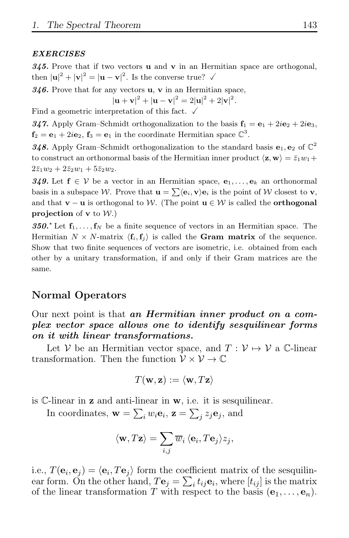#### **EXERCISES**

345. Prove that if two vectors  $\bf{u}$  and  $\bf{v}$  in an Hermitian space are orthogonal, then  $|\mathbf{u}|^2 + |\mathbf{v}|^2 = |\mathbf{u} - \mathbf{v}|^2$ . Is the converse true?  $\checkmark$ 

 $346.$  Prove that for any vectors **u**, **v** in an Hermitian space,

$$
|\mathbf{u} + \mathbf{v}|^2 + |\mathbf{u} - \mathbf{v}|^2 = 2|\mathbf{u}|^2 + 2|\mathbf{v}|^2.
$$

Find a geometric interpretation of this fact.  $\checkmark$ 

347. Apply Gram–Schmidt orthogonalization to the basis  $f_1 = e_1 + 2ie_2 + 2ie_3$ ,  $f_2 = e_1 + 2ie_2, f_3 = e_1$  in the coordinate Hermitian space  $\mathbb{C}^3$ .

348. Apply Gram–Schmidt orthogonalization to the standard basis  $e_1, e_2$  of  $\mathbb{C}^2$ to construct an orthonormal basis of the Hermitian inner product  $\langle \mathbf{z}, \mathbf{w} \rangle = \bar{z}_1 w_1 + \cdots$  $2\bar{z}_1w_2+2\bar{z}_2w_1+5\bar{z}_2w_2.$ 

**349.** Let  $f \in V$  be a vector in an Hermitian space,  $e_1, \ldots, e_k$  an orthonormal basis in a subspace W. Prove that  $\mathbf{u} = \sum \langle \mathbf{e}_i, \mathbf{v} \rangle \mathbf{e}_i$  is the point of W closest to  $\mathbf{v}$ , and that  $\mathbf{v} - \mathbf{u}$  is orthogonal to W. (The point  $\mathbf{u} \in \mathcal{W}$  is called the **orthogonal** projection of  $v$  to  $W$ .)

350.<sup> $\star$ </sup> Let  $f_1, \ldots, f_N$  be a finite sequence of vectors in an Hermitian space. The Hermitian  $N \times N$ -matrix  $\langle \mathbf{f}_i, \mathbf{f}_j \rangle$  is called the **Gram matrix** of the sequence. Show that two finite sequences of vectors are isometric, i.e. obtained from each other by a unitary transformation, if and only if their Gram matrices are the same.

### Normal Operators

Our next point is that an *Hermitian inner product on a com*plex vector space allows one to identify sesquilinear forms on it with linear transformations.

Let V be an Hermitian vector space, and  $T: V \mapsto V$  a C-linear transformation. Then the function  $\mathcal{V} \times \mathcal{V} \to \mathbb{C}$ 

$$
T(\mathbf{w}, \mathbf{z}) := \langle \mathbf{w}, T\mathbf{z} \rangle
$$

is C-linear in z and anti-linear in w, i.e. it is sesquilinear.

In coordinates,  $\mathbf{w} = \sum_i w_i \mathbf{e}_i$ ,  $\mathbf{z} = \sum_j z_j \mathbf{e}_j$ , and

$$
\langle \mathbf{w}, T\mathbf{z} \rangle = \sum_{i,j} \overline{w}_i \, \langle \mathbf{e}_i, T\mathbf{e}_j \rangle z_j,
$$

i.e.,  $T(\mathbf{e}_i, \mathbf{e}_j) = \langle \mathbf{e}_i, T\mathbf{e}_j \rangle$  form the coefficient matrix of the sesquilinear form. On the other hand,  $T\mathbf{e}_j = \sum_i t_{ij} \mathbf{e}_i$ , where  $[t_{ij}]$  is the matrix of the linear transformation T with respect to the basis  $(e_1, \ldots, e_n)$ .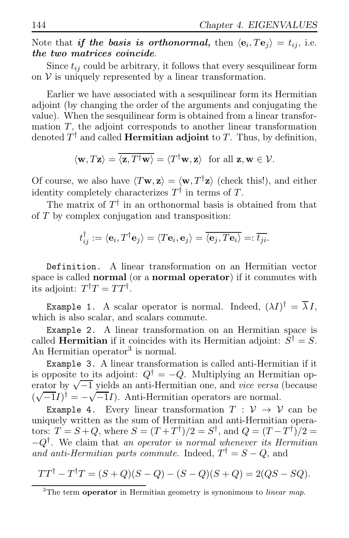Note that *if the basis is orthonormal*, then  $\langle \mathbf{e}_i, T\mathbf{e}_j \rangle = t_{ij}$ , i.e. the two matrices coincide.

Since  $t_{ij}$  could be arbitrary, it follows that every sesquilinear form on  $V$  is uniquely represented by a linear transformation.

Earlier we have associated with a sesquilinear form its Hermitian adjoint (by changing the order of the arguments and conjugating the value). When the sesquilinear form is obtained from a linear transformation  $T$ , the adjoint corresponds to another linear transformation denoted  $T^{\dagger}$  and called **Hermitian adjoint** to T. Thus, by definition,

$$
\langle \mathbf{w}, T\mathbf{z} \rangle = \overline{\langle \mathbf{z}, T^{\dagger} \mathbf{w} \rangle} = \langle T^{\dagger} \mathbf{w}, \mathbf{z} \rangle \text{ for all } \mathbf{z}, \mathbf{w} \in \mathcal{V}.
$$

Of course, we also have  $\langle T\mathbf{w}, \mathbf{z} \rangle = \langle \mathbf{w}, T^{\dagger} \mathbf{z} \rangle$  (check this!), and either identity completely characterizes  $T^{\dagger}$  in terms of T.

The matrix of  $T^{\dagger}$  in an orthonormal basis is obtained from that of T by complex conjugation and transposition:

$$
t_{ij}^{\dagger} := \langle \mathbf{e}_i, T^{\dagger} \mathbf{e}_j \rangle = \langle T \mathbf{e}_i, \mathbf{e}_j \rangle = \overline{\langle \mathbf{e}_j, T \mathbf{e}_i \rangle} =: \overline{t_{ji}}.
$$

Definition. A linear transformation on an Hermitian vector space is called normal (or a normal operator) if it commutes with its adjoint:  $T^{\dagger}T = TT^{\dagger}$ .

**Example 1.** A scalar operator is normal. Indeed,  $(\lambda I)^{\dagger} = \lambda I$ , which is also scalar, and scalars commute.

Example 2. A linear transformation on an Hermitian space is called **Hermitian** if it coincides with its Hermitian adjoint:  $S^{\dagger} = S$ . An Hermitian operator<sup>3</sup> is normal.

Example 3. A linear transformation is called anti-Hermitian if it is opposite to its adjoint:  $Q^{\dagger} = -Q$ . Multiplying an Hermitian operator by <sup>√</sup> −1 yields an anti-Hermitian one, and *vice versa* (because  $(\sqrt{-1}I)^{\dagger} = -\sqrt{-1}I$ . Anti-Hermitian operators are normal.

Example 4. Every linear transformation  $T : \mathcal{V} \to \mathcal{V}$  can be uniquely written as the sum of Hermitian and anti-Hermitian operators:  $T = S + Q$ , where  $S = (T + T^{\dagger})/2 = S^{\dagger}$ , and  $Q = (T - T^{\dagger})/2 =$ −Q† . We claim that *an operator is normal whenever its Hermitian and anti-Hermitian parts commute.* Indeed,  $T^{\dagger} = S - Q$ , and

$$
TT^{\dagger} - T^{\dagger}T = (S + Q)(S - Q) - (S - Q)(S + Q) = 2(QS - SQ).
$$

 $3$ The term **operator** in Hermitian geometry is synonimous to *linear map*.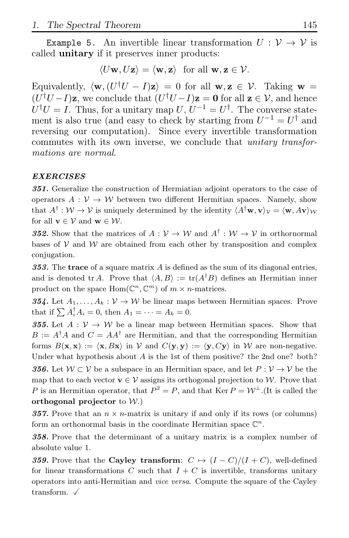Example 5. An invertible linear transformation  $U: V \to V$  is called unitary if it preserves inner products:

$$
\langle U\mathbf{w}, U\mathbf{z}\rangle = \langle \mathbf{w}, \mathbf{z}\rangle \text{ for all } \mathbf{w}, \mathbf{z} \in \mathcal{V}.
$$

Equivalently,  $\langle \mathbf{w}, (U^{\dagger}U - I)\mathbf{z} \rangle = 0$  for all  $\mathbf{w}, \mathbf{z} \in \mathcal{V}$ . Taking  $\mathbf{w} =$  $(U^{\dagger}U-I)\mathbf{z}$ , we conclude that  $(U^{\dagger}U-I)\mathbf{z} = \mathbf{0}$  for all  $\mathbf{z} \in \mathcal{V}$ , and hence  $U^{\dagger}U = I$ . Thus, for a unitary map  $U, U^{-1} = U^{\dagger}$ . The converse statement is also true (and easy to check by starting from  $U^{-1} = U^{\dagger}$  and reversing our computation). Since every invertible transformation commutes with its own inverse, we conclude that *unitary transformations are normal*.

### EXERCISES

351. Generalize the construction of Hermiatian adjoint operators to the case of operators  $A: V \to W$  between two different Hermitian spaces. Namely, show that  $A^{\dagger}$ :  $W \to V$  is uniquely determined by the identity  $\langle A^{\dagger}w, v \rangle_{V} = \langle w, Av \rangle_{W}$ for all  $\mathbf{v} \in \mathcal{V}$  and  $\mathbf{w} \in \mathcal{W}$ .

**352.** Show that the matrices of  $A: V \to W$  and  $A^{\dagger}: W \to V$  in orthornormal bases of  $V$  and  $W$  are obtained from each other by transposition and complex conjugation.

353. The trace of a square matrix  $A$  is defined as the sum of its diagonal entries, and is denoted tr A. Prove that  $\langle A, B \rangle := \text{tr}(A^{\dagger}B)$  defines an Hermitian inner product on the space  $\text{Hom}(\mathbb{C}^n, \mathbb{C}^m)$  of  $m \times n$ -matrices.

354. Let  $A_1, \ldots, A_k : \mathcal{V} \to \mathcal{W}$  be linear maps between Hermitian spaces. Prove that if  $\sum A_i^{\dagger} A_i = 0$ , then  $A_1 = \cdots = A_k = 0$ .

355. Let  $A: V \to W$  be a linear map between Hermitian spaces. Show that  $B := A^{\dagger} A$  and  $C = AA^{\dagger}$  are Hermitian, and that the corresponding Hermitian forms  $B(\mathbf{x}, \mathbf{x}) := \langle \mathbf{x}, B\mathbf{x} \rangle$  in V and  $C(\mathbf{y}, \mathbf{y}) := \langle \mathbf{y}, C\mathbf{y} \rangle$  in W are non-negative. Under what hypothesis about  $A$  is the 1st of them positive? the 2nd one? both? **356.** Let  $W \subset V$  be a subspace in an Hermitian space, and let  $P: V \to V$  be the map that to each vector  $\mathbf{v} \in \mathcal{V}$  assigns its orthogonal projection to W. Prove that P is an Hermitian operator, that  $P^2 = P$ , and that Ker  $P = \mathcal{W}^{\perp}$ . (It is called the orthogonal projector to  $W$ .)

**357.** Prove that an  $n \times n$ -matrix is unitary if and only if its rows (or columns) form an orthonormal basis in the coordinate Hermitian space  $\mathbb{C}^n$ .

358. Prove that the determinant of a unitary matrix is a complex number of absolute value 1.

359. Prove that the Cayley transform:  $C \mapsto (I - C)/(I + C)$ , well-defined for linear transformations C such that  $I + C$  is invertible, transforms unitary operators into anti-Hermitian and vice versa. Compute the square of the Cayley transform.  $\checkmark$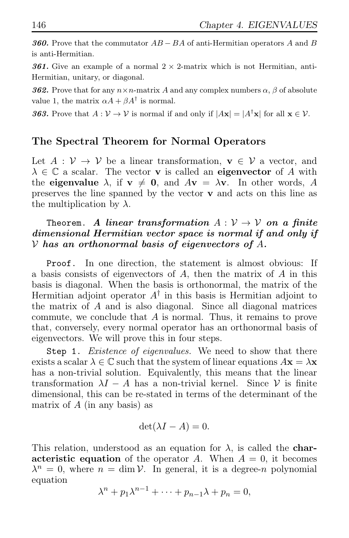360. Prove that the commutator  $AB - BA$  of anti-Hermitian operators A and B is anti-Hermitian.

**361.** Give an example of a normal  $2 \times 2$ -matrix which is not Hermitian, anti-Hermitian, unitary, or diagonal.

**362.** Prove that for any  $n \times n$ -matrix A and any complex numbers  $\alpha$ ,  $\beta$  of absolute value 1, the matrix  $\alpha A + \beta A^{\dagger}$  is normal.

**363.** Prove that  $A: V \to V$  is normal if and only if  $|A\mathbf{x}| = |A^{\dagger}\mathbf{x}|$  for all  $\mathbf{x} \in V$ .

# The Spectral Theorem for Normal Operators

Let  $A: V \to V$  be a linear transformation,  $\mathbf{v} \in V$  a vector, and  $\lambda \in \mathbb{C}$  a scalar. The vector **v** is called an **eigenvector** of A with the eigenvalue  $\lambda$ , if  $v \neq 0$ , and  $Av = \lambda v$ . In other words, A preserves the line spanned by the vector  $\bf{v}$  and acts on this line as the multiplication by  $\lambda$ .

### Theorem. A linear transformation  $A: V \to V$  on a finite dimensional Hermitian vector space is normal if and only if  $V$  has an orthonormal basis of eigenvectors of A.

Proof. In one direction, the statement is almost obvious: If a basis consists of eigenvectors of  $A$ , then the matrix of  $A$  in this basis is diagonal. When the basis is orthonormal, the matrix of the Hermitian adjoint operator  $A^{\dagger}$  in this basis is Hermitian adjoint to the matrix of A and is also diagonal. Since all diagonal matrices commute, we conclude that A is normal. Thus, it remains to prove that, conversely, every normal operator has an orthonormal basis of eigenvectors. We will prove this in four steps.

Step 1. *Existence of eigenvalues.* We need to show that there exists a scalar  $\lambda \in \mathbb{C}$  such that the system of linear equations  $A\mathbf{x} = \lambda \mathbf{x}$ has a non-trivial solution. Equivalently, this means that the linear transformation  $\lambda I - A$  has a non-trivial kernel. Since V is finite dimensional, this can be re-stated in terms of the determinant of the matrix of  $A$  (in any basis) as

$$
\det(\lambda I - A) = 0.
$$

This relation, understood as an equation for  $\lambda$ , is called the **char**acteristic equation of the operator A. When  $A = 0$ , it becomes  $\lambda^n = 0$ , where  $n = \dim \mathcal{V}$ . In general, it is a degree-n polynomial equation

 $\lambda^{n} + p_1 \lambda^{n-1} + \cdots + p_{n-1} \lambda + p_n = 0,$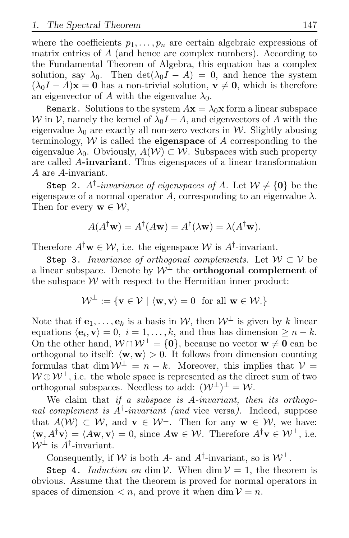where the coefficients  $p_1, \ldots, p_n$  are certain algebraic expressions of matrix entries of A (and hence are complex numbers). According to the Fundamental Theorem of Algebra, this equation has a complex solution, say  $\lambda_0$ . Then  $\det(\lambda_0 I - A) = 0$ , and hence the system  $(\lambda_0 I - A)\mathbf{x} = \mathbf{0}$  has a non-trivial solution,  $\mathbf{v} \neq \mathbf{0}$ , which is therefore an eigenvector of A with the eigenvalue  $\lambda_0$ .

Remark. Solutions to the system  $A\mathbf{x} = \lambda_0\mathbf{x}$  form a linear subspace W in V, namely the kernel of  $\lambda_0 I - A$ , and eigenvectors of A with the eigenvalue  $\lambda_0$  are exactly all non-zero vectors in W. Slightly abusing terminology,  $W$  is called the **eigenspace** of  $A$  corresponding to the eigenvalue  $\lambda_0$ . Obviously,  $A(\mathcal{W}) \subset \mathcal{W}$ . Subspaces with such property are called A-invariant. Thus eigenspaces of a linear transformation A are A-invariant.

Step 2.  $A^{\dagger}$ -*invariance of eigenspaces of* A. Let  $\mathcal{W} \neq \{0\}$  be the eigenspace of a normal operator A, corresponding to an eigenvalue  $\lambda$ . Then for every  $\mathbf{w} \in \mathcal{W}$ ,

$$
A(A^{\dagger} \mathbf{w}) = A^{\dagger} (A \mathbf{w}) = A^{\dagger} (\lambda \mathbf{w}) = \lambda (A^{\dagger} \mathbf{w}).
$$

Therefore  $A^{\dagger} \mathbf{w} \in \mathcal{W}$ , i.e. the eigenspace  $\mathcal{W}$  is  $A^{\dagger}$ -invariant.

Step 3. *Invariance of orthogonal complements.* Let  $W \subset V$  be a linear subspace. Denote by  $\mathcal{W}^{\perp}$  the **orthogonal complement** of the subspace  $W$  with respect to the Hermitian inner product:

$$
\mathcal{W}^{\perp} := \{ \mathbf{v} \in \mathcal{V} \mid \langle \mathbf{w}, \mathbf{v} \rangle = 0 \text{ for all } \mathbf{w} \in \mathcal{W}. \}
$$

Note that if  $e_1, \ldots, e_k$  is a basis in W, then  $W^{\perp}$  is given by k linear equations  $\langle \mathbf{e}_i, \mathbf{v} \rangle = 0, i = 1, \dots, k$ , and thus has dimension  $\geq n - k$ . On the other hand,  $W \cap W^{\perp} = \{0\}$ , because no vector  $w \neq 0$  can be orthogonal to itself:  $\langle \mathbf{w}, \mathbf{w} \rangle > 0$ . It follows from dimension counting formulas that dim  $\mathcal{W}^{\perp} = n - k$ . Moreover, this implies that  $\mathcal{V} =$  $W \oplus W^{\perp}$ , i.e. the whole space is represented as the direct sum of two orthogonal subspaces. Needless to add:  $(\mathcal{W}^{\perp})^{\perp} = \mathcal{W}$ .

We claim that *if a subspace is* A*-invariant, then its orthogonal complement is* A† *-invariant (and* vice versa*).* Indeed, suppose that  $A(\mathcal{W}) \subset \mathcal{W}$ , and  $\mathbf{v} \in \mathcal{W}^{\perp}$ . Then for any  $\mathbf{w} \in \mathcal{W}$ , we have:  $\langle \mathbf{w}, A^{\dagger} \mathbf{v} \rangle = \langle A\mathbf{w}, \mathbf{v} \rangle = 0$ , since  $A\mathbf{w} \in \mathcal{W}$ . Therefore  $A^{\dagger} \mathbf{v} \in \mathcal{W}^{\perp}$ , i.e.  $W^{\perp}$  is  $A^{\dagger}$ -invariant.

Consequently, if W is both A- and  $A^{\dagger}$ -invariant, so is  $W^{\perp}$ .

Step 4. *Induction on* dim  $V$ . When dim  $V = 1$ , the theorem is obvious. Assume that the theorem is proved for normal operators in spaces of dimension  $\langle n, \text{ and prove it when } \dim V = n$ .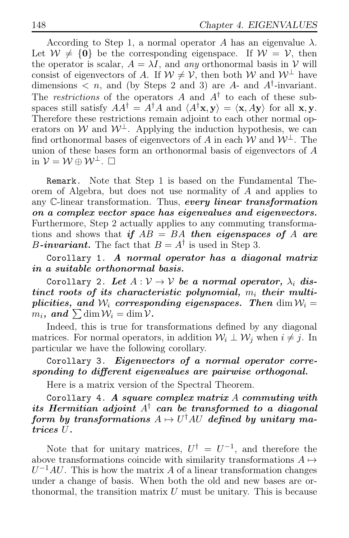According to Step 1, a normal operator A has an eigenvalue  $\lambda$ . Let  $W \neq \{0\}$  be the corresponding eigenspace. If  $W = V$ , then the operator is scalar,  $A = \lambda I$ , and *any* orthonormal basis in  $V$  will consist of eigenvectors of A. If  $W \neq V$ , then both W and  $W^{\perp}$  have dimensions  $\langle n, \text{ and (by Steps 2 and 3) are } A \text{-} \text{ and } A^{\dagger} \text{-} \text{invariant.}$ The *restrictions* of the operators  $A$  and  $A^{\dagger}$  to each of these subspaces still satisfy  $AA^{\dagger} = A^{\dagger}A$  and  $\langle A^{\dagger}x, y \rangle = \langle x, Ay \rangle$  for all x, y. Therefore these restrictions remain adjoint to each other normal operators on W and  $W^{\perp}$ . Applying the induction hypothesis, we can find orthonormal bases of eigenvectors of A in each W and  $W^{\perp}$ . The union of these bases form an orthonormal basis of eigenvectors of A in  $V = W \oplus W^{\perp}$ .  $\Box$ 

Remark. Note that Step 1 is based on the Fundamental Theorem of Algebra, but does not use normality of A and applies to any C-linear transformation. Thus, every linear transformation on a complex vector space has eigenvalues and eigenvectors. Furthermore, Step 2 actually applies to any commuting transformations and shows that if  $AB = BA$  then eigenspaces of A are *B*-invariant. The fact that  $B = A^{\dagger}$  is used in Step 3.

Corollary 1. A normal operator has a diagonal matrix in a suitable orthonormal basis.

Corollary 2. Let  $A: V \to V$  be a normal operator,  $\lambda_i$  distinct roots of its characteristic polynomial,  $m_i$  their multiplicities, and  $W_i$  corresponding eigenspaces. Then dim  $W_i =$  $m_i$ , and  $\sum \dim \mathcal{W}_i = \dim \mathcal{V}$ .

Indeed, this is true for transformations defined by any diagonal matrices. For normal operators, in addition  $\mathcal{W}_i \perp \mathcal{W}_j$  when  $i \neq j$ . In particular we have the following corollary.

Corollary 3. Eigenvectors of a normal operator corresponding to different eigenvalues are pairwise orthogonal.

Here is a matrix version of the Spectral Theorem.

Corollary 4. A square complex matrix  $A$  commuting with its Hermitian adjoint  $A^{\dagger}$  can be transformed to a diagonal  ${\it form}\;$  by transformations  $A\mapsto U^\dagger A U\;$  defined by unitary matrices U.

Note that for unitary matrices,  $U^{\dagger} = U^{-1}$ , and therefore the above transformations coincide with similarity transformations  $A \mapsto$  $U^{-1}AU$ . This is how the matrix A of a linear transformation changes under a change of basis. When both the old and new bases are orthonormal, the transition matrix  $U$  must be unitary. This is because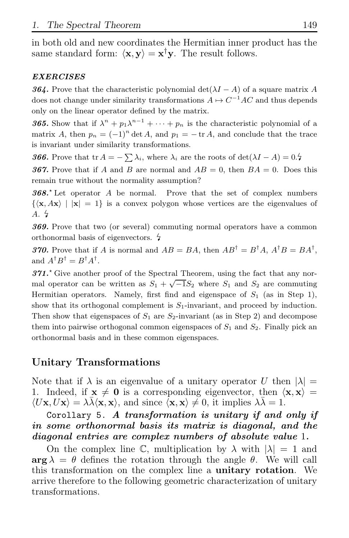in both old and new coordinates the Hermitian inner product has the same standard form:  $\langle \mathbf{x}, \mathbf{y} \rangle = \mathbf{x}^{\dagger} \mathbf{y}$ . The result follows.

### EXERCISES

364. Prove that the characteristic polynomial det( $\lambda I - A$ ) of a square matrix A does not change under similarity transformations  $A \mapsto C^{-1}AC$  and thus depends only on the linear operator defined by the matrix.

**365.** Show that if  $\lambda^n + p_1 \lambda^{n-1} + \cdots + p_n$  is the characteristic polynomial of a matrix A, then  $p_n = (-1)^n \det A$ , and  $p_1 = -\operatorname{tr} A$ , and conclude that the trace is invariant under similarity transformations.

**366.** Prove that tr  $A = -\sum \lambda_i$ , where  $\lambda_i$  are the roots of  $\det(\lambda I - A) = 0.5$ 

**367.** Prove that if A and B are normal and  $AB = 0$ , then  $BA = 0$ . Does this remain true without the normality assumption?

368.<sup> $\star$ </sup> Let operator A be normal. Prove that the set of complex numbers  $\{\langle \mathbf{x}, A\mathbf{x} \rangle \mid |\mathbf{x}| = 1\}$  is a convex polygon whose vertices are the eigenvalues of  $A.4$ 

369. Prove that two (or several) commuting normal operators have a common orthonormal basis of eigenvectors.

**370.** Prove that if A is normal and  $AB = BA$ , then  $AB^{\dagger} = B^{\dagger}A$ ,  $A^{\dagger}B = BA^{\dagger}$ , and  $A^{\dagger}B^{\dagger} = B^{\dagger}A^{\dagger}$ .

 $371.$ <sup>\*</sup> Give another proof of the Spectral Theorem, using the fact that any normal operator can be written as  $S_1 + \sqrt{-1}S_2$  where  $S_1$  and  $S_2$  are commuting Hermitian operators. Namely, first find and eigenspace of  $S_1$  (as in Step 1), show that its orthogonal complement is  $S_1$ -invariant, and proceed by induction. Then show that eigenspaces of  $S_1$  are  $S_2$ -invariant (as in Step 2) and decompose them into pairwise orthogonal common eigenspaces of  $S_1$  and  $S_2$ . Finally pick an orthonormal basis and in these common eigenspaces.

# Unitary Transformations

Note that if  $\lambda$  is an eigenvalue of a unitary operator U then  $|\lambda| =$ 1. Indeed, if  $x \neq 0$  is a corresponding eigenvector, then  $\langle x, x \rangle =$  $\langle U\mathbf{x}, U\mathbf{x} \rangle = \lambda \bar{\lambda} \langle \mathbf{x}, \mathbf{x} \rangle$ , and since  $\langle \mathbf{x}, \mathbf{x} \rangle \neq 0$ , it implies  $\lambda \bar{\lambda} = 1$ .

Corollary 5. A transformation is unitary if and only if in some orthonormal basis its matrix is diagonal, and the diagonal entries are complex numbers of absolute value 1.

On the complex line C, multiplication by  $\lambda$  with  $|\lambda| = 1$  and  $\arg \lambda = \theta$  defines the rotation through the angle  $\theta$ . We will call this transformation on the complex line a unitary rotation. We arrive therefore to the following geometric characterization of unitary transformations.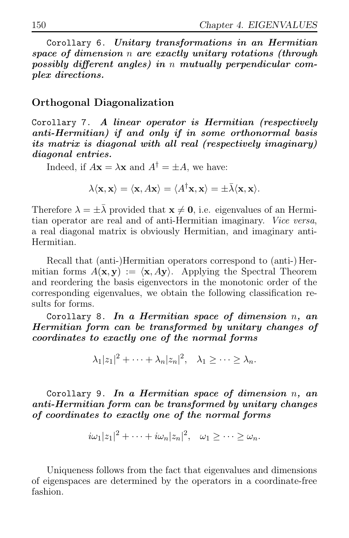Corollary 6. Unitary transformations in an Hermitian space of dimension n are exactly unitary rotations (through possibly different angles) in n mutually perpendicular complex directions.

### Orthogonal Diagonalization

Corollary 7. A linear operator is Hermitian (respectively anti-Hermitian) if and only if in some orthonormal basis its matrix is diagonal with all real (respectively imaginary) diagonal entries.

Indeed, if  $A\mathbf{x} = \lambda \mathbf{x}$  and  $A^{\dagger} = \pm A$ , we have:

 $\lambda \langle \mathbf{x}, \mathbf{x} \rangle = \langle \mathbf{x}, A\mathbf{x} \rangle = \langle A^\dagger \mathbf{x}, \mathbf{x} \rangle = \pm \bar{\lambda} \langle \mathbf{x}, \mathbf{x} \rangle.$ 

Therefore  $\lambda = \pm \lambda$  provided that  $\mathbf{x} \neq \mathbf{0}$ , i.e. eigenvalues of an Hermitian operator are real and of anti-Hermitian imaginary. *Vice versa*, a real diagonal matrix is obviously Hermitian, and imaginary anti-Hermitian.

Recall that (anti-)Hermitian operators correspond to (anti-) Hermitian forms  $A(\mathbf{x}, \mathbf{y}) := \langle \mathbf{x}, A\mathbf{y} \rangle$ . Applying the Spectral Theorem and reordering the basis eigenvectors in the monotonic order of the corresponding eigenvalues, we obtain the following classification results for forms.

Corollary 8. In a Hermitian space of dimension  $n$ , an Hermitian form can be transformed by unitary changes of coordinates to exactly one of the normal forms

$$
\lambda_1 |z_1|^2 + \cdots + \lambda_n |z_n|^2, \quad \lambda_1 \geq \cdots \geq \lambda_n.
$$

Corollary 9. In a Hermitian space of dimension  $n$ , an anti-Hermitian form can be transformed by unitary changes of coordinates to exactly one of the normal forms

$$
i\omega_1|z_1|^2+\cdots+i\omega_n|z_n|^2, \quad \omega_1\geq\cdots\geq\omega_n.
$$

Uniqueness follows from the fact that eigenvalues and dimensions of eigenspaces are determined by the operators in a coordinate-free fashion.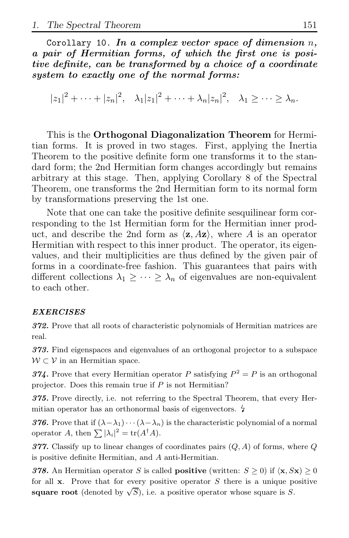Corollary 10. In a complex vector space of dimension  $n$ , a pair of Hermitian forms, of which the first one is positive definite, can be transformed by a choice of a coordinate system to exactly one of the normal forms:

 $|z_1|^2 + \cdots + |z_n|^2$ ,  $\lambda_1 |z_1|^2 + \cdots + \lambda_n |z_n|^2$ ,  $\lambda_1 \geq \cdots \geq \lambda_n$ .

This is the Orthogonal Diagonalization Theorem for Hermitian forms. It is proved in two stages. First, applying the Inertia Theorem to the positive definite form one transforms it to the standard form; the 2nd Hermitian form changes accordingly but remains arbitrary at this stage. Then, applying Corollary 8 of the Spectral Theorem, one transforms the 2nd Hermitian form to its normal form by transformations preserving the 1st one.

Note that one can take the positive definite sesquilinear form corresponding to the 1st Hermitian form for the Hermitian inner product, and describe the 2nd form as  $\langle z, Az \rangle$ , where A is an operator Hermitian with respect to this inner product. The operator, its eigenvalues, and their multiplicities are thus defined by the given pair of forms in a coordinate-free fashion. This guarantees that pairs with different collections  $\lambda_1 \geq \cdots \geq \lambda_n$  of eigenvalues are non-equivalent to each other.

#### EXERCISES

372. Prove that all roots of characteristic polynomials of Hermitian matrices are real.

373. Find eigenspaces and eigenvalues of an orthogonal projector to a subspace  $W \subset V$  in an Hermitian space.

374. Prove that every Hermitian operator P satisfying  $P^2 = P$  is an orthogonal projector. Does this remain true if  $P$  is not Hermitian?

375. Prove directly, i.e. not referring to the Spectral Theorem, that every Hermitian operator has an orthonormal basis of eigenvectors.  $\frac{1}{2}$ 

376. Prove that if  $(\lambda - \lambda_1) \cdots (\lambda - \lambda_n)$  is the characteristic polynomial of a normal operator A, then  $\sum |\lambda_i|^2 = \text{tr}(A^{\dagger}A)$ .

377. Classify up to linear changes of coordinates pairs  $(Q, A)$  of forms, where Q is positive definite Hermitian, and A anti-Hermitian.

378. An Hermitian operator S is called **positive** (written:  $S \ge 0$ ) if  $\langle \mathbf{x}, S\mathbf{x} \rangle \ge 0$ for all  $x$ . Prove that for every positive operator  $S$  there is a unique positive square root (denoted by  $\sqrt{S}$ ), i.e. a positive operator whose square is S.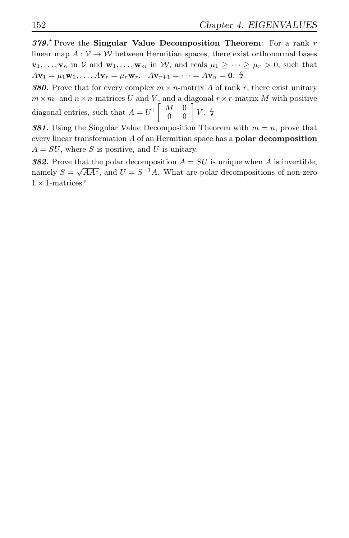$379.^{\circ}$  Prove the Singular Value Decomposition Theorem: For a rank r linear map  $A: V \to W$  between Hermitian spaces, there exist orthonormal bases  $\mathbf{v}_1, \ldots, \mathbf{v}_n$  in V and  $\mathbf{w}_1, \ldots, \mathbf{w}_m$  in W, and reals  $\mu_1 \geq \cdots \geq \mu_r > 0$ , such that  $A**v**<sub>1</sub> = \mu_1**w**<sub>1</sub>,..., A**v**<sub>r</sub> = \mu_r**w**<sub>r</sub>, A**v**<sub>r+1</sub> = ... = A**v**<sub>n</sub> = **0**.$ 

**380.** Prove that for every complex  $m \times n$ -matrix A of rank r, there exist unitary  $m \times m$ - and  $n \times n$ -matrices U and V, and a diagonal  $r \times r$ -matrix M with positive diagonal entries, such that  $A = U^{\dagger} \begin{bmatrix} M & 0 \\ 0 & 0 \end{bmatrix} V.$   $\sharp$ 

381. Using the Singular Value Decomposition Theorem with  $m = n$ , prove that every linear transformation A of an Hermitian space has a polar decomposition  $A = SU$ , where S is positive, and U is unitary.

**382.** Prove that the polar decomposition  $A = SU$  is unique when A is invertible; namely  $S = \sqrt{AA^*}$ , and  $U = S^{-1}A$ . What are polar decompositions of non-zero  $1 \times 1$ -matrices?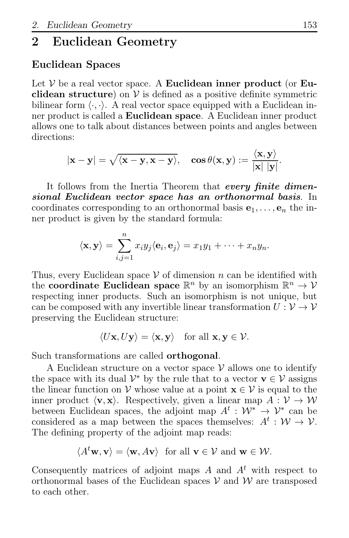# 2 Euclidean Geometry

## Euclidean Spaces

Let  $V$  be a real vector space. A **Euclidean inner product** (or **Eu**clidean structure) on  $V$  is defined as a positive definite symmetric bilinear form  $\langle \cdot, \cdot \rangle$ . A real vector space equipped with a Euclidean inner product is called a Euclidean space. A Euclidean inner product allows one to talk about distances between points and angles between directions:

$$
|\mathbf{x} - \mathbf{y}| = \sqrt{\langle \mathbf{x} - \mathbf{y}, \mathbf{x} - \mathbf{y} \rangle}, \quad \cos \theta(\mathbf{x}, \mathbf{y}) := \frac{\langle \mathbf{x}, \mathbf{y} \rangle}{|\mathbf{x}| |\mathbf{y}|}.
$$

It follows from the Inertia Theorem that every finite dimensional Euclidean vector space has an orthonormal basis. In coordinates corresponding to an orthonormal basis  $e_1, \ldots, e_n$  the inner product is given by the standard formula:

$$
\langle \mathbf{x}, \mathbf{y} \rangle = \sum_{i,j=1}^n x_i y_j \langle \mathbf{e}_i, \mathbf{e}_j \rangle = x_1 y_1 + \cdots + x_n y_n.
$$

Thus, every Euclidean space  $V$  of dimension n can be identified with the coordinate Euclidean space  $\mathbb{R}^n$  by an isomorphism  $\mathbb{R}^n \to V$ respecting inner products. Such an isomorphism is not unique, but can be composed with any invertible linear transformation  $U: \mathcal{V} \to \mathcal{V}$ preserving the Euclidean structure:

$$
\langle U\mathbf{x},U\mathbf{y}\rangle=\langle \mathbf{x},\mathbf{y}\rangle \quad \text{for all } \mathbf{x},\mathbf{y}\in\mathcal{V}.
$$

Such transformations are called orthogonal.

A Euclidean structure on a vector space  $\mathcal V$  allows one to identify the space with its dual  $\mathcal{V}^*$  by the rule that to a vector  $\mathbf{v} \in \mathcal{V}$  assigns the linear function on  $V$  whose value at a point  $\mathbf{x} \in V$  is equal to the inner product  $\langle v, x \rangle$ . Respectively, given a linear map  $A : V \to W$ between Euclidean spaces, the adjoint map  $A^t : \mathcal{W}^* \to \mathcal{V}^*$  can be considered as a map between the spaces themselves:  $A^t : \mathcal{W} \to \mathcal{V}$ . The defining property of the adjoint map reads:

 $\langle A^t \mathbf{w}, \mathbf{v} \rangle = \langle \mathbf{w}, A\mathbf{v} \rangle$  for all  $\mathbf{v} \in \mathcal{V}$  and  $\mathbf{w} \in \mathcal{W}$ .

Consequently matrices of adjoint maps  $A$  and  $A<sup>t</sup>$  with respect to orthonormal bases of the Euclidean spaces  $V$  and  $W$  are transposed to each other.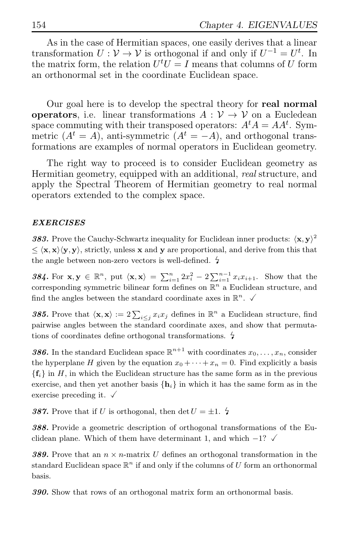As in the case of Hermitian spaces, one easily derives that a linear transformation  $U: V \to V$  is orthogonal if and only if  $U^{-1} = U^t$ . In the matrix form, the relation  $U^t U = I$  means that columns of U form an orthonormal set in the coordinate Euclidean space.

Our goal here is to develop the spectral theory for real normal **operators**, i.e. linear transformations  $A: V \rightarrow V$  on a Eucledean space commuting with their transposed operators:  $A<sup>t</sup>A = AA<sup>t</sup>$ . Symmetric  $(A^t = A)$ , anti-symmetric  $(A^t = -A)$ , and orthogonal transformations are examples of normal operators in Euclidean geometry.

The right way to proceed is to consider Euclidean geometry as Hermitian geometry, equipped with an additional, *real* structure, and apply the Spectral Theorem of Hermitian geometry to real normal operators extended to the complex space.

### EXERCISES

383. Prove the Cauchy-Schwartz inequality for Euclidean inner products:  $\langle x, y \rangle^2$  $\leq \langle \mathbf{x}, \mathbf{x} \rangle \langle \mathbf{y}, \mathbf{y} \rangle$ , strictly, unless x and y are proportional, and derive from this that the angle between non-zero vectors is well-defined.  $\frac{1}{4}$ 

384. For  $\mathbf{x}, \mathbf{y} \in \mathbb{R}^n$ , put  $\langle \mathbf{x}, \mathbf{x} \rangle = \sum_{i=1}^n 2x_i^2 - 2 \sum_{i=1}^{n-1} x_i x_{i+1}$ . Show that the corresponding symmetric bilinear form defines on  $\mathbb{R}^n$  a Euclidean structure, and find the angles between the standard coordinate axes in  $\mathbb{R}^n$ .  $\checkmark$ 

**385.** Prove that  $\langle \mathbf{x}, \mathbf{x} \rangle := 2 \sum_{i \leq j} x_i x_j$  defines in  $\mathbb{R}^n$  a Euclidean structure, find pairwise angles between the standard coordinate axes, and show that permutations of coordinates define orthogonal transformations.  $\frac{1}{2}$ 

**386.** In the standard Euclidean space  $\mathbb{R}^{n+1}$  with coordinates  $x_0, \ldots, x_n$ , consider the hyperplane H given by the equation  $x_0 + \cdots + x_n = 0$ . Find explicitly a basis  ${f_i}$  in H, in which the Euclidean structure has the same form as in the previous exercise, and then yet another basis  $\{h_i\}$  in which it has the same form as in the exercise preceding it.  $\checkmark$ 

**387.** Prove that if U is orthogonal, then det  $U = \pm 1$ .  $\frac{1}{2}$ 

388. Provide a geometric description of orthogonal transformations of the Euclidean plane. Which of them have determinant 1, and which  $-1$ ?

**389.** Prove that an  $n \times n$ -matrix U defines an orthogonal transformation in the standard Euclidean space  $\mathbb{R}^n$  if and only if the columns of U form an orthonormal basis.

390. Show that rows of an orthogonal matrix form an orthonormal basis.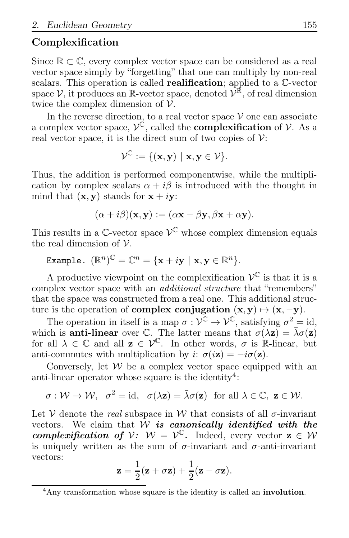# Complexification

Since  $\mathbb{R} \subset \mathbb{C}$ , every complex vector space can be considered as a real vector space simply by "forgetting" that one can multiply by non-real scalars. This operation is called realification; applied to a C-vector space  $\mathcal{V}$ , it produces an R-vector space, denoted  $\mathcal{V}^{\mathbb{R}}$ , of real dimension twice the complex dimension of  $\mathcal V$ .

In the reverse direction, to a real vector space  $V$  one can associate a complex vector space,  $\mathcal{V}^{\mathfrak{C}}$ , called the **complexification** of  $\mathcal{V}$ . As a real vector space, it is the direct sum of two copies of  $\mathcal V$ :

$$
\mathcal{V}^{\mathbb{C}}:=\{(\mathbf{x},\mathbf{y})\,\,|\,\,\mathbf{x},\mathbf{y}\in\mathcal{V}\}.
$$

Thus, the addition is performed componentwise, while the multiplication by complex scalars  $\alpha + i\beta$  is introduced with the thought in mind that  $(\mathbf{x}, \mathbf{y})$  stands for  $\mathbf{x} + i\mathbf{y}$ :

$$
(\alpha + i\beta)(\mathbf{x}, \mathbf{y}) := (\alpha \mathbf{x} - \beta \mathbf{y}, \beta \mathbf{x} + \alpha \mathbf{y}).
$$

This results in a  $\mathbb{C}\text{-vector space } \mathcal{V}^{\mathbb{C}}$  whose complex dimension equals the real dimension of  $\nu$ .

Example. 
$$
(\mathbb{R}^n)^{\mathbb{C}} = \mathbb{C}^n = {\mathbf{x} + i\mathbf{y} \mid \mathbf{x}, \mathbf{y} \in \mathbb{R}^n}.
$$

A productive viewpoint on the complexification  $\mathcal{V}^{\mathbb{C}}$  is that it is a complex vector space with an *additional structure* that "remembers" that the space was constructed from a real one. This additional structure is the operation of **complex conjugation**  $(x, y) \mapsto (x, -y)$ .

The operation in itself is a map  $\sigma : \mathcal{V}^{\mathbb{C}} \to \mathcal{V}^{\mathbb{C}}$ , satisfying  $\sigma^2 = id$ , which is **anti-linear** over C. The latter means that  $\sigma(\lambda z) = \bar{\lambda}\sigma(z)$ for all  $\lambda \in \mathbb{C}$  and all  $\mathbf{z} \in \mathcal{V}^{\mathbb{C}}$ . In other words,  $\sigma$  is R-linear, but anti-commutes with multiplication by i:  $\sigma(i\mathbf{z}) = -i\sigma(\mathbf{z})$ .

Conversely, let  $W$  be a complex vector space equipped with an anti-linear operator whose square is the identity<sup>4</sup>:

$$
\sigma: \mathcal{W} \to \mathcal{W}, \quad \sigma^2 = \text{id}, \quad \sigma(\lambda \mathbf{z}) = \bar{\lambda} \sigma(\mathbf{z}) \quad \text{for all } \lambda \in \mathbb{C}, \ \mathbf{z} \in \mathcal{W}.
$$

Let  $V$  denote the *real* subspace in  $W$  that consists of all  $\sigma$ -invariant vectors. We claim that  $W$  is canonically identified with the complexification of  $V: W = V^{\mathbb{C}}$ . Indeed, every vector  $z \in W$ is uniquely written as the sum of  $\sigma$ -invariant and  $\sigma$ -anti-invariant vectors:

$$
\mathbf{z} = \frac{1}{2}(\mathbf{z} + \sigma \mathbf{z}) + \frac{1}{2}(\mathbf{z} - \sigma \mathbf{z}).
$$

<sup>&</sup>lt;sup>4</sup>Any transformation whose square is the identity is called an **involution**.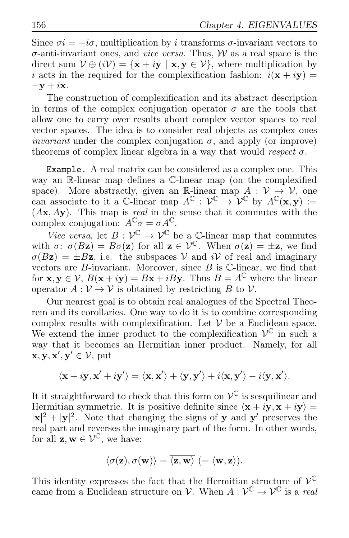Since  $\sigma i = -i\sigma$ , multiplication by i transforms  $\sigma$ -invariant vectors to σ-anti-invariant ones, and *vice versa*. Thus, W as a real space is the direct sum  $V \oplus (iV) = {\mathbf{x} + i\mathbf{y} | \mathbf{x}, \mathbf{y} \in V}$ , where multiplication by i acts in the required for the complexification fashion:  $i(\mathbf{x} + i\mathbf{y}) =$  $-\mathbf{y} + i\mathbf{x}$ .

The construction of complexification and its abstract description in terms of the complex conjugation operator  $\sigma$  are the tools that allow one to carry over results about complex vector spaces to real vector spaces. The idea is to consider real objects as complex ones *invariant* under the complex conjugation  $\sigma$ , and apply (or improve) theorems of complex linear algebra in a way that would *respect*  $\sigma$ .

Example. A real matrix can be considered as a complex one. This way an R-linear map defines a C-linear map (on the complexified space). More abstractly, given an R-linear map  $A: V \to V$ , one can associate to it a C-linear map  $A^{\mathbb{C}} : \mathcal{V}^{\mathbb{C}} \to \mathcal{V}^{\mathbb{C}}$  by  $A^{\mathbb{C}}(\mathbf{x}, \mathbf{y}) :=$ (Ax, Ay). This map is *real* in the sense that it commutes with the complex conjugation:  $A^{\mathbb{C}}\sigma = \sigma A^{\mathbb{C}}$ .

*Vice versa*, let  $B : \mathcal{V}^{\mathbb{C}} \to \mathcal{V}^{\mathbb{C}}$  be a  $\mathbb{C}\text{-linear map}$  that commutes with  $\sigma: \sigma(Bz) = B\sigma(z)$  for all  $z \in \mathcal{V}^{\mathbb{C}}$ . When  $\sigma(z) = \pm z$ , we find  $\sigma(Bz) = \pm Bz$ , i.e. the subspaces V and iV of real and imaginary vectors are  $B$ -invariant. Moreover, since  $B$  is  $\mathbb{C}$ -linear, we find that for  $\mathbf{x}, \mathbf{y} \in \mathcal{V}$ ,  $B(\mathbf{x} + i\mathbf{y}) = B\mathbf{x} + iB\mathbf{y}$ . Thus  $B = A^{\mathbb{C}}$  where the linear operator  $A: \mathcal{V} \to \mathcal{V}$  is obtained by restricting B to V.

Our nearest goal is to obtain real analogues of the Spectral Theorem and its corollaries. One way to do it is to combine corresponding complex results with complexification. Let  $V$  be a Euclidean space. We extend the inner product to the complexification  $\mathcal{V}^{\mathbb{C}}$  in such a way that it becomes an Hermitian inner product. Namely, for all  $\mathbf{x}, \mathbf{y}, \mathbf{x}', \mathbf{y}' \in \mathcal{V}$ , put

$$
\langle \mathbf{x} + i\mathbf{y}, \mathbf{x}' + i\mathbf{y}' \rangle = \langle \mathbf{x}, \mathbf{x}' \rangle + \langle \mathbf{y}, \mathbf{y}' \rangle + i \langle \mathbf{x}, \mathbf{y}' \rangle - i \langle \mathbf{y}, \mathbf{x}' \rangle.
$$

It it straightforward to check that this form on  $\mathcal{V}^{\mathbb{C}}$  is sesquilinear and Hermitian symmetric. It is positive definite since  $\langle \mathbf{x} + i\mathbf{y}, \mathbf{x} + i\mathbf{y} \rangle =$  $|\mathbf{x}|^2 + |\mathbf{y}|^2$ . Note that changing the signs of **y** and **y'** preserves the real part and reverses the imaginary part of the form. In other words, for all  $z, w \in \mathcal{V}^{\mathbb{C}}$ , we have:

$$
\langle \sigma(\mathbf{z}), \sigma(\mathbf{w}) \rangle = \overline{\langle \mathbf{z}, \mathbf{w} \rangle} \ (= \langle \mathbf{w}, \mathbf{z} \rangle).
$$

This identity expresses the fact that the Hermitian structure of  $\mathcal{V}^{\mathbb{C}}$ came from a Euclidean structure on  $\mathcal{V}$ . When  $A: \mathcal{V}^{\mathbb{C}} \to \mathcal{V}^{\mathbb{C}}$  is a *real*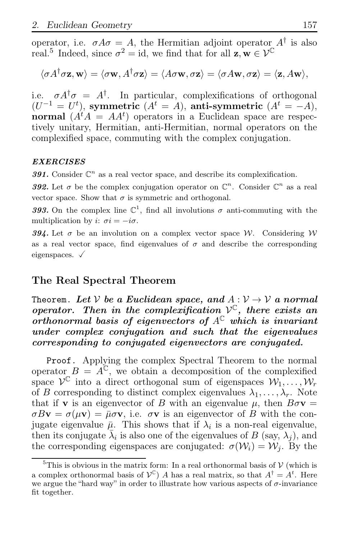operator, i.e.  $\sigma A \sigma = A$ , the Hermitian adjoint operator  $A^{\dagger}$  is also real.<sup>5</sup> Indeed, since  $\sigma^2 = id$ , we find that for all  $z, w \in \mathcal{V}^{\mathbb{C}}$ 

$$
\langle \sigma A^{\dagger} \sigma \mathbf{z}, \mathbf{w} \rangle = \langle \sigma \mathbf{w}, A^{\dagger} \sigma \mathbf{z} \rangle = \langle A \sigma \mathbf{w}, \sigma \mathbf{z} \rangle = \langle \sigma A \mathbf{w}, \sigma \mathbf{z} \rangle = \langle \mathbf{z}, A \mathbf{w} \rangle,
$$

i.e.  $\sigma A^{\dagger} \sigma = A^{\dagger}$ . In particular, complexifications of orthogonal  $(U^{-1} = U^t)$ , symmetric  $(A^t = A)$ , anti-symmetric  $(A^t = -A)$ , normal  $(A<sup>t</sup>A = AA<sup>t</sup>)$  operators in a Euclidean space are respectively unitary, Hermitian, anti-Hermitian, normal operators on the complexified space, commuting with the complex conjugation.

### EXERCISES

391. Consider  $\mathbb{C}^n$  as a real vector space, and describe its complexification.

392. Let  $\sigma$  be the complex conjugation operator on  $\mathbb{C}^n$ . Consider  $\mathbb{C}^n$  as a real vector space. Show that  $\sigma$  is symmetric and orthogonal.

393. On the complex line  $\mathbb{C}^1$ , find all involutions  $\sigma$  anti-commuting with the multiplication by i:  $\sigma i = -i\sigma$ .

394. Let  $\sigma$  be an involution on a complex vector space W. Considering W as a real vector space, find eigenvalues of  $\sigma$  and describe the corresponding eigenspaces.  $\sqrt{ }$ 

### The Real Spectral Theorem

Theorem. Let  $V$  be a Euclidean space, and  $A: V \rightarrow V$  a normal operator. Then in the complexification  $\mathcal{V}^{\mathbb{C}}$ , there exists an orthonormal basis of eigenvectors of  $A^{\mathbb{C}}$  which is invariant under complex conjugation and such that the eigenvalues corresponding to conjugated eigenvectors are conjugated.

Proof. Applying the complex Spectral Theorem to the normal operator  $B = A^{\mathbb{C}}$ , we obtain a decomposition of the complexified space  $\mathcal{V}^{\mathbb{C}}$  into a direct orthogonal sum of eigenspaces  $\mathcal{W}_1, \ldots, \mathcal{W}_r$ of B corresponding to distinct complex eigenvalues  $\lambda_1, \ldots, \lambda_r$ . Note that if **v** is an eigenvector of B with an eigenvalue  $\mu$ , then  $B\sigma$ **v** =  $\sigma Bv = \sigma(\mu v) = \bar{\mu} \sigma v$ , i.e.  $\sigma v$  is an eigenvector of B with the conjugate eigenvalue  $\bar{\mu}$ . This shows that if  $\lambda_i$  is a non-real eigenvalue, then its conjugate  $\bar{\lambda}_i$  is also one of the eigenvalues of B (say,  $\lambda_j$ ), and the corresponding eigenspaces are conjugated:  $\sigma(\mathcal{W}_i) = \mathcal{W}_i$ . By the

 $5$ This is obvious in the matrix form: In a real orthonormal basis of  $V$  (which is a complex orthonormal basis of  $V^{\mathbb{C}}$ ) A has a real matrix, so that  $A^{\dagger} = A^t$ . Here we argue the "hard way" in order to illustrate how various aspects of  $\sigma$ -invariance fit together.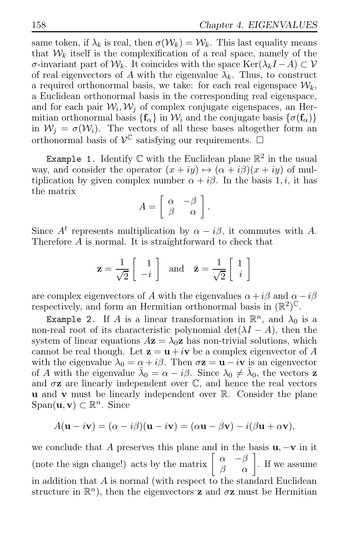same token, if  $\lambda_k$  is real, then  $\sigma(\mathcal{W}_k) = \mathcal{W}_k$ . This last equality means that  $W_k$  itself is the complexification of a real space, namely of the σ-invariant part of W<sub>k</sub>. It coincides with the space Ker( $\lambda_k I - A$ ) ⊂ V of real eigenvectors of A with the eigenvalue  $\lambda_k$ . Thus, to construct a required orthonormal basis, we take: for each real eigenspace  $\mathcal{W}_k$ , a Euclidean orthonormal basis in the corresponding real eigenspace, and for each pair  $W_i, W_j$  of complex conjugate eigenspaces, an Hermitian orthonormal basis  $\{f_\alpha\}$  in  $\mathcal{W}_i$  and the conjugate basis  $\{\sigma(f_\alpha)\}\$ in  $W_i = \sigma(W_i)$ . The vectors of all these bases altogether form an orthonormal basis of  $\mathcal{V}^{\mathbb{C}}$  satisfying our requirements.  $\Box$ 

Example 1. Identify  $\mathbb C$  with the Euclidean plane  $\mathbb R^2$  in the usual way, and consider the operator  $(x + iy) \mapsto (\alpha + i\beta)(x + iy)$  of multiplication by given complex number  $\alpha + i\beta$ . In the basis 1, i, it has the matrix

$$
A = \left[ \begin{array}{cc} \alpha & -\beta \\ \beta & \alpha \end{array} \right].
$$

Since  $A^t$  represents multiplication by  $\alpha - i\beta$ , it commutes with A. Therefore A is normal. It is straightforward to check that

$$
\mathbf{z} = \frac{1}{\sqrt{2}} \begin{bmatrix} 1 \\ -i \end{bmatrix} \text{ and } \bar{\mathbf{z}} = \frac{1}{\sqrt{2}} \begin{bmatrix} 1 \\ i \end{bmatrix}
$$

are complex eigenvectors of A with the eigenvalues  $\alpha + i\beta$  and  $\alpha - i\beta$ respectively, and form an Hermitian orthonormal basis in  $(\mathbb{R}^2)^{\mathbb{C}}$ .

Example 2. If A is a linear transformation in  $\mathbb{R}^n$ , and  $\lambda_0$  is a non-real root of its characteristic polynomial det( $\lambda I - A$ ), then the system of linear equations  $A\mathbf{z} = \lambda_0\mathbf{z}$  has non-trivial solutions, which cannot be real though. Let  $z = u + iv$  be a complex eigenvector of A with the eigenvalue  $\lambda_0 = \alpha + i\beta$ . Then  $\sigma z = u - i v$  is an eigenvector of A with the eigenvalue  $\bar{\lambda}_0 = \alpha - i\beta$ . Since  $\lambda_0 \neq \bar{\lambda}_0$ , the vectors z and  $\sigma z$  are linearly independent over  $\mathbb{C}$ , and hence the real vectors u and v must be linearly independent over R. Consider the plane  $Span(\mathbf{u}, \mathbf{v}) \subset \mathbb{R}^n$ . Since

$$
A(\mathbf{u} - i\mathbf{v}) = (\alpha - i\beta)(\mathbf{u} - i\mathbf{v}) = (\alpha \mathbf{u} - \beta \mathbf{v}) - i(\beta \mathbf{u} + \alpha \mathbf{v}),
$$

we conclude that A preserves this plane and in the basis  $\mathbf{u}, -\mathbf{v}$  in it (note the sign change!) acts by the matrix  $\begin{bmatrix} \alpha & -\beta \\ \beta & \alpha \end{bmatrix}$ . If we assume in addition that  $A$  is normal (with respect to the standard Euclidean structure in  $\mathbb{R}^n$ ), then the eigenvectors **z** and  $\sigma$ **z** must be Hermitian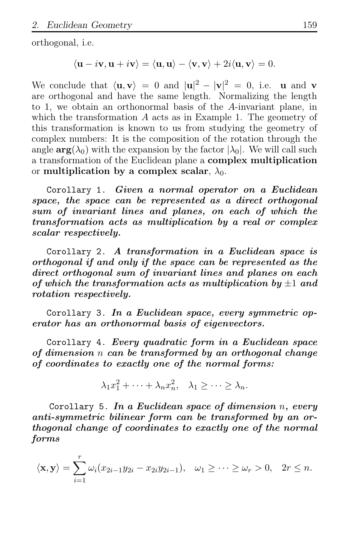orthogonal, i.e.

$$
\langle \mathbf{u} - i\mathbf{v}, \mathbf{u} + i\mathbf{v} \rangle = \langle \mathbf{u}, \mathbf{u} \rangle - \langle \mathbf{v}, \mathbf{v} \rangle + 2i \langle \mathbf{u}, \mathbf{v} \rangle = 0.
$$

We conclude that  $\langle \mathbf{u}, \mathbf{v} \rangle = 0$  and  $|\mathbf{u}|^2 - |\mathbf{v}|^2 = 0$ , i.e. **u** and **v** are orthogonal and have the same length. Normalizing the length to 1, we obtain an orthonormal basis of the A-invariant plane, in which the transformation A acts as in Example 1. The geometry of this transformation is known to us from studying the geometry of complex numbers: It is the composition of the rotation through the angle  $arg(\lambda_0)$  with the expansion by the factor  $|\lambda_0|$ . We will call such a transformation of the Euclidean plane a complex multiplication or multiplication by a complex scalar,  $\lambda_0$ .

Corollary 1. Given a normal operator on a Euclidean space, the space can be represented as a direct orthogonal sum of invariant lines and planes, on each of which the transformation acts as multiplication by a real or complex scalar respectively.

Corollary 2. A transformation in a Euclidean space is orthogonal if and only if the space can be represented as the direct orthogonal sum of invariant lines and planes on each of which the transformation acts as multiplication by  $\pm 1$  and rotation respectively.

Corollary 3. In a Euclidean space, every symmetric operator has an orthonormal basis of eigenvectors.

Corollary 4. Every quadratic form in a Euclidean space of dimension n can be transformed by an orthogonal change of coordinates to exactly one of the normal forms:

$$
\lambda_1 x_1^2 + \dots + \lambda_n x_n^2, \quad \lambda_1 \ge \dots \ge \lambda_n.
$$

Corollary 5. In a Euclidean space of dimension  $n$ , every anti-symmetric bilinear form can be transformed by an orthogonal change of coordinates to exactly one of the normal forms

$$
\langle \mathbf{x}, \mathbf{y} \rangle = \sum_{i=1}^r \omega_i (x_{2i-1}y_{2i} - x_{2i}y_{2i-1}), \quad \omega_1 \ge \cdots \ge \omega_r > 0, \quad 2r \le n.
$$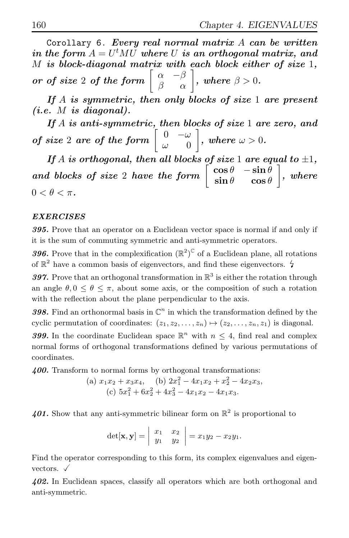Corollary 6. Every real normal matrix  $A$  can be written in the form  $A = U^t MU$  where U is an orthogonal matrix, and M is block-diagonal matrix with each block either of size 1, or of size 2 of the form  $\begin{bmatrix} \alpha & -\beta \\ \beta & \alpha \end{bmatrix}$ , where  $\beta > 0$ .

If  $A$  is symmetric, then only blocks of size 1 are present  $(i.e. M is diagonal).$ 

If  $A$  is anti-symmetric, then blocks of size 1 are zero, and of size 2 are of the form  $\begin{bmatrix} 0 & -\omega \\ 0 & 0 \end{bmatrix}$  $\omega = 0$  $\Big]$  , where  $\omega > 0$  .

If A is orthogonal, then all blocks of size 1 are equal to  $\pm 1$ , and blocks of size 2 have the form  $\begin{bmatrix} \cos \theta & -\sin \theta \\ \sin \theta & \cos \theta \end{bmatrix}$  $\sin \theta \qquad \cos \theta$  $\big],\ where$  $0 < \theta < \pi$ .

### EXERCISES

395. Prove that an operator on a Euclidean vector space is normal if and only if it is the sum of commuting symmetric and anti-symmetric operators.

**396.** Prove that in the complexification  $(\mathbb{R}^2)^C$  of a Euclidean plane, all rotations of  $\mathbb{R}^2$  have a common basis of eigenvectors, and find these eigenvectors.  $\sharp$ 

397. Prove that an orthogonal transformation in  $\mathbb{R}^3$  is either the rotation through an angle  $\theta$ ,  $0 \le \theta \le \pi$ , about some axis, or the composition of such a rotation with the reflection about the plane perpendicular to the axis.

398. Find an orthonormal basis in  $\mathbb{C}^n$  in which the transformation defined by the cyclic permutation of coordinates:  $(z_1, z_2, \ldots, z_n) \mapsto (z_2, \ldots, z_n, z_1)$  is diagonal.

**399.** In the coordinate Euclidean space  $\mathbb{R}^n$  with  $n \leq 4$ , find real and complex normal forms of orthogonal transformations defined by various permutations of coordinates.

400. Transform to normal forms by orthogonal transformations:

(a) 
$$
x_1x_2 + x_3x_4
$$
, (b)  $2x_1^2 - 4x_1x_2 + x_2^2 - 4x_2x_3$ ,  
(c)  $5x_1^2 + 6x_2^2 + 4x_3^2 - 4x_1x_2 - 4x_1x_3$ .

401. Show that any anti-symmetric bilinear form on  $\mathbb{R}^2$  is proportional to

$$
\det[\mathbf{x},\mathbf{y}]=\left|\begin{array}{cc}x_1&x_2\\y_1&y_2\end{array}\right|=x_1y_2-x_2y_1.
$$

Find the operator corresponding to this form, its complex eigenvalues and eigenvectors.  $\checkmark$ 

402. In Euclidean spaces, classify all operators which are both orthogonal and anti-symmetric.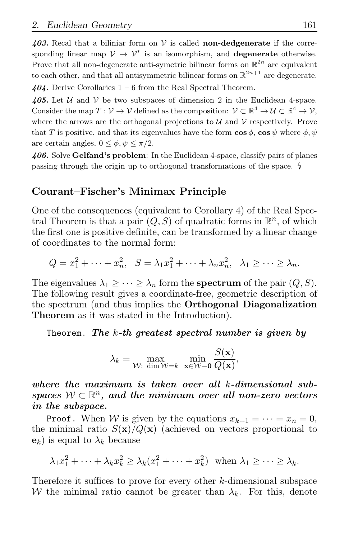403. Recal that a biliniar form on  $V$  is called **non-dedgenerate** if the corresponding linear map  $V \to V^*$  is an isomorphism, and **degenerate** otherwise. Prove that all non-degenerate anti-symetric bilinear forms on  $\mathbb{R}^{2n}$  are equivalent to each other, and that all antisymmetric bilinear forms on  $\mathbb{R}^{2n+1}$  are degenerate.

 $404.$  Derive Corollaries  $1 - 6$  from the Real Spectral Theorem.

405. Let U and V be two subspaces of dimension 2 in the Euclidean 4-space. Consider the map  $T: \mathcal{V} \to \mathcal{V}$  defined as the composition:  $\mathcal{V} \subset \mathbb{R}^4 \to \mathcal{U} \subset \mathbb{R}^4 \to \mathcal{V}$ , where the arrows are the orthogonal projections to  $\mathcal U$  and  $\mathcal V$  respectively. Prove that T is positive, and that its eigenvalues have the form  $\cos \phi$ ,  $\cos \psi$  where  $\phi$ ,  $\psi$ are certain angles,  $0 \leq \phi, \psi \leq \pi/2$ .

406. Solve Gelfand's problem: In the Euclidean 4-space, classify pairs of planes passing through the origin up to orthogonal transformations of the space.  $\frac{1}{4}$ 

### Courant–Fischer's Minimax Principle

One of the consequences (equivalent to Corollary 4) of the Real Spectral Theorem is that a pair  $(Q, S)$  of quadratic forms in  $\mathbb{R}^n$ , of which the first one is positive definite, can be transformed by a linear change of coordinates to the normal form:

$$
Q = x_1^2 + \dots + x_n^2, \quad S = \lambda_1 x_1^2 + \dots + \lambda_n x_n^2, \quad \lambda_1 \ge \dots \ge \lambda_n.
$$

The eigenvalues  $\lambda_1 \geq \cdots \geq \lambda_n$  form the **spectrum** of the pair  $(Q, S)$ . The following result gives a coordinate-free, geometric description of the spectrum (and thus implies the Orthogonal Diagonalization Theorem as it was stated in the Introduction).

Theorem. The  $k$ -th greatest spectral number is given by

$$
\lambda_k = \max_{\mathcal{W}: \dim \mathcal{W}=k} \ \min_{\mathbf{x} \in \mathcal{W} - \mathbf{0}} \frac{S(\mathbf{x})}{Q(\mathbf{x})},
$$

where the maximum is taken over all k-dimensional subspaces  $W \subset \mathbb{R}^n$ , and the minimum over all non-zero vectors in the subspace.

**Proof.** When W is given by the equations  $x_{k+1} = \cdots = x_n = 0$ , the minimal ratio  $S(\mathbf{x})/Q(\mathbf{x})$  (achieved on vectors proportional to  $\mathbf{e}_k$ ) is equal to  $\lambda_k$  because

$$
\lambda_1 x_1^2 + \dots + \lambda_k x_k^2 \ge \lambda_k (x_1^2 + \dots + x_k^2) \text{ when } \lambda_1 \ge \dots \ge \lambda_k.
$$

Therefore it suffices to prove for every other k-dimensional subspace W the minimal ratio cannot be greater than  $\lambda_k$ . For this, denote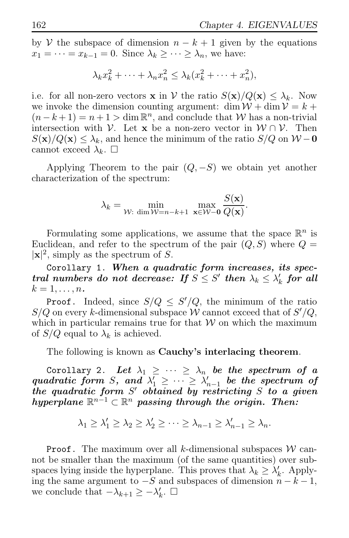by V the subspace of dimension  $n - k + 1$  given by the equations  $x_1 = \cdots = x_{k-1} = 0$ . Since  $\lambda_k \geq \cdots \geq \lambda_n$ , we have:

$$
\lambda_k x_k^2 + \dots + \lambda_n x_n^2 \leq \lambda_k (x_k^2 + \dots + x_n^2),
$$

i.e. for all non-zero vectors **x** in V the ratio  $S(\mathbf{x})/Q(\mathbf{x}) \leq \lambda_k$ . Now we invoke the dimension counting argument: dim  $W + \dim V = k +$  $(n-k+1) = n+1 > \dim \mathbb{R}^n$ , and conclude that W has a non-trivial intersection with  $\mathcal V$ . Let **x** be a non-zero vector in  $\mathcal W \cap \mathcal V$ . Then  $S(\mathbf{x})/Q(\mathbf{x}) \leq \lambda_k$ , and hence the minimum of the ratio  $S/Q$  on  $W - \mathbf{0}$ cannot exceed  $\lambda_k$ .  $\square$ 

Applying Theorem to the pair  $(Q, -S)$  we obtain yet another characterization of the spectrum:

$$
\lambda_k = \min_{\mathcal{W}: \dim \mathcal{W}=n-k+1} \ \max_{\mathbf{x} \in \mathcal{W}-\mathbf{0}} \frac{S(\mathbf{x})}{Q(\mathbf{x})}.
$$

Formulating some applications, we assume that the space  $\mathbb{R}^n$  is Euclidean, and refer to the spectrum of the pair  $(Q, S)$  where  $Q =$  $|x|^2$ , simply as the spectrum of S.

Corollary 1. When a quadratic form increases, its spectral numbers do not decrease: If  $S \leq S'$  then  $\lambda_k \leq \lambda'_k$  for all  $k=1,\ldots,n$ .

**Proof.** Indeed, since  $S/Q \leq S'/Q$ , the minimum of the ratio  $S/Q$  on every k-dimensional subspace W cannot exceed that of  $S'/Q$ , which in particular remains true for that  $W$  on which the maximum of  $S/Q$  equal to  $\lambda_k$  is achieved.

The following is known as Cauchy's interlacing theorem.

Corollary 2. Let  $\lambda_1 \geq \cdots \geq \lambda_n$  be the spectrum of a quadratic form S, and  $\lambda'_1 \geq \cdots \geq \lambda'_{n-1}$  be the spectrum of the quadratic form  $S'$  obtained by restricting  $S$  to a given hyperplane  $\mathbb{R}^{n-1} \subset \mathbb{R}^n$  passing through the origin. Then:

$$
\lambda_1 \geq \lambda'_1 \geq \lambda_2 \geq \lambda'_2 \geq \cdots \geq \lambda_{n-1} \geq \lambda'_{n-1} \geq \lambda_n.
$$

**Proof.** The maximum over all k-dimensional subspaces  $W$  cannot be smaller than the maximum (of the same quantities) over subspaces lying inside the hyperplane. This proves that  $\lambda_k \geq \lambda'_k$ . Applying the same argument to  $-S$  and subspaces of dimension  $n - k - 1$ , we conclude that  $-\lambda_{k+1} \geq -\lambda'_k$ .  $\Box$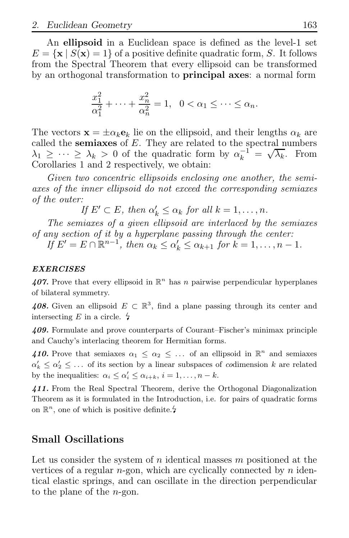An ellipsoid in a Euclidean space is defined as the level-1 set  $E = {\mathbf{x} | S(\mathbf{x}) = 1}$  of a positive definite quadratic form, S. It follows from the Spectral Theorem that every ellipsoid can be transformed by an orthogonal transformation to principal axes: a normal form

$$
\frac{x_1^2}{\alpha_1^2} + \dots + \frac{x_n^2}{\alpha_n^2} = 1, \quad 0 < \alpha_1 \leq \dots \leq \alpha_n.
$$

The vectors  $\mathbf{x} = \pm \alpha_k \mathbf{e}_k$  lie on the ellipsoid, and their lengths  $\alpha_k$  are called the semiaxes of  $E$ . They are related to the spectral numbers  $\lambda_1 \geq \cdots \geq \lambda_k > 0$  of the quadratic form by  $\alpha_k^{-1} = \sqrt{\lambda_k}$ . From Corollaries 1 and 2 respectively, we obtain:

*Given two concentric ellipsoids enclosing one another, the semiaxes of the inner ellipsoid do not exceed the corresponding semiaxes of the outer:*

If  $E' \subset E$ , then  $\alpha'_k \leq \alpha_k$  for all  $k = 1, \ldots, n$ .

*The semiaxes of a given ellipsoid are interlaced by the semiaxes of any section of it by a hyperplane passing through the center:*

 $I \circ E' = E \cap \mathbb{R}^{n-1}$ , then  $\alpha_k \leq \alpha'_k \leq \alpha_{k+1}$  for  $k = 1, ..., n-1$ .

### EXERCISES

407. Prove that every ellipsoid in  $\mathbb{R}^n$  has n pairwise perpendicular hyperplanes of bilateral symmetry.

408. Given an ellipsoid  $E \subset \mathbb{R}^3$ , find a plane passing through its center and intersecting E in a circle.  $\frac{1}{2}$ 

409. Formulate and prove counterparts of Courant–Fischer's minimax principle and Cauchy's interlacing theorem for Hermitian forms.

410. Prove that semiaxes  $\alpha_1 \leq \alpha_2 \leq \ldots$  of an ellipsoid in  $\mathbb{R}^n$  and semiaxes  $\alpha'_k \leq \alpha'_2 \leq \ldots$  of its section by a linear subspaces of codimension k are related by the inequalities:  $\alpha_i \leq \alpha'_i \leq \alpha_{i+k}, i = 1, \ldots, n-k.$ 

411. From the Real Spectral Theorem, derive the Orthogonal Diagonalization Theorem as it is formulated in the Introduction, i.e. for pairs of quadratic forms on  $\mathbb{R}^n$ , one of which is positive definite.<sup>2</sup>

# Small Oscillations

Let us consider the system of n identical masses  $m$  positioned at the vertices of a regular  $n$ -gon, which are cyclically connected by  $n$  identical elastic springs, and can oscillate in the direction perpendicular to the plane of the n-gon.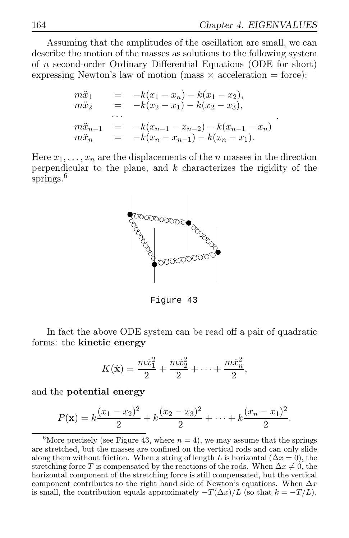.

Assuming that the amplitudes of the oscillation are small, we can describe the motion of the masses as solutions to the following system of n second-order Ordinary Differential Equations (ODE for short) expressing Newton's law of motion (mass  $\times$  acceleration = force):

$$
m\ddot{x}_1 = -k(x_1 - x_n) - k(x_1 - x_2),
$$
  
\n
$$
m\ddot{x}_2 = -k(x_2 - x_1) - k(x_2 - x_3),
$$
  
\n
$$
m\ddot{x}_{n-1} = -k(x_{n-1} - x_{n-2}) - k(x_{n-1} - x_n)
$$
  
\n
$$
m\ddot{x}_n = -k(x_n - x_{n-1}) - k(x_n - x_1).
$$

Here  $x_1, \ldots, x_n$  are the displacements of the *n* masses in the direction perpendicular to the plane, and  $k$  characterizes the rigidity of the springs.<sup>6</sup>



Figure 43

In fact the above ODE system can be read off a pair of quadratic forms: the kinetic energy

$$
K(\dot{\mathbf{x}}) = \frac{m\dot{x}_1^2}{2} + \frac{m\dot{x}_2^2}{2} + \dots + \frac{m\dot{x}_n^2}{2},
$$

and the potential energy

$$
P(\mathbf{x}) = k \frac{(x_1 - x_2)^2}{2} + k \frac{(x_2 - x_3)^2}{2} + \dots + k \frac{(x_n - x_1)^2}{2}.
$$

<sup>&</sup>lt;sup>6</sup>More precisely (see Figure 43, where  $n = 4$ ), we may assume that the springs are stretched, but the masses are confined on the vertical rods and can only slide along them without friction. When a string of length L is horizontal ( $\Delta x = 0$ ), the stretching force T is compensated by the reactions of the rods. When  $\Delta x \neq 0$ , the horizontal component of the stretching force is still compensated, but the vertical component contributes to the right hand side of Newton's equations. When  $\Delta x$ is small, the contribution equals approximately  $-T(\Delta x)/L$  (so that  $k=-T/L$ ).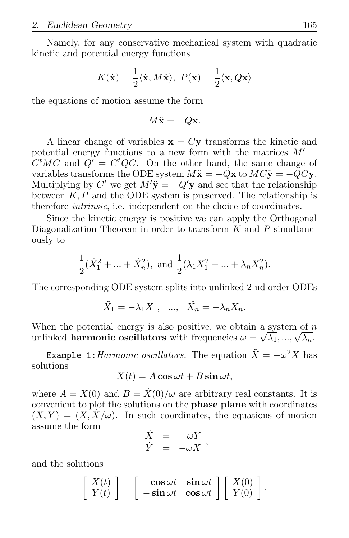Namely, for any conservative mechanical system with quadratic kinetic and potential energy functions

$$
K(\dot{\mathbf{x}}) = \frac{1}{2} \langle \dot{\mathbf{x}}, M \dot{\mathbf{x}} \rangle, \ P(\mathbf{x}) = \frac{1}{2} \langle \mathbf{x}, Q \mathbf{x} \rangle
$$

the equations of motion assume the form

$$
M\ddot{\mathbf{x}} = -Q\mathbf{x}.
$$

A linear change of variables  $x = Cy$  transforms the kinetic and potential energy functions to a new form with the matrices  $M' =$  $C<sup>t</sup>MC$  and  $Q' = C<sup>t</sup>QC$ . On the other hand, the same change of variables transforms the ODE system  $M\ddot{\mathbf{x}} = -Q\mathbf{x}$  to  $MC\ddot{\mathbf{v}} = -QC\mathbf{v}$ . Multiplying by  $C^t$  we get  $M'\ddot{\mathbf{y}} = -Q'\mathbf{y}$  and see that the relationship between  $K, P$  and the ODE system is preserved. The relationship is therefore *intrinsic*, i.e. independent on the choice of coordinates.

Since the kinetic energy is positive we can apply the Orthogonal Diagonalization Theorem in order to transform  $K$  and  $P$  simultaneously to

$$
\frac{1}{2}(\dot{X}_1^2 + \dots + \dot{X}_n^2)
$$
, and  $\frac{1}{2}(\lambda_1 X_1^2 + \dots + \lambda_n X_n^2)$ .

The corresponding ODE system splits into unlinked 2-nd order ODEs

$$
\ddot{X}_1 = -\lambda_1 X_1, \quad \dots, \quad \ddot{X}_n = -\lambda_n X_n.
$$

When the potential energy is also positive, we obtain a system of  $n$ when the potential energy is disc positive, we ested a system of  $\sqrt{\lambda_1}, \ldots, \sqrt{\lambda_n}$ .

Example 1: *Harmonic oscillators*. The equation  $\ddot{X} = -\omega^2 X$  has solutions

 $X(t) = A \cos \omega t + B \sin \omega t$ ,

where  $A = X(0)$  and  $B = X(0)/\omega$  are arbitrary real constants. It is convenient to plot the solutions on the phase plane with coordinates  $(X, Y) = (X, X/\omega)$ . In such coordinates, the equations of motion assume the form

$$
\begin{array}{rcl}\n\dot{X} & = & \omega Y \\
\dot{Y} & = & -\omega X\n\end{array},
$$

and the solutions

$$
\left[\begin{array}{c} X(t) \\ Y(t) \end{array}\right] = \left[\begin{array}{cc} \cos \omega t & \sin \omega t \\ -\sin \omega t & \cos \omega t \end{array}\right] \left[\begin{array}{c} X(0) \\ Y(0) \end{array}\right].
$$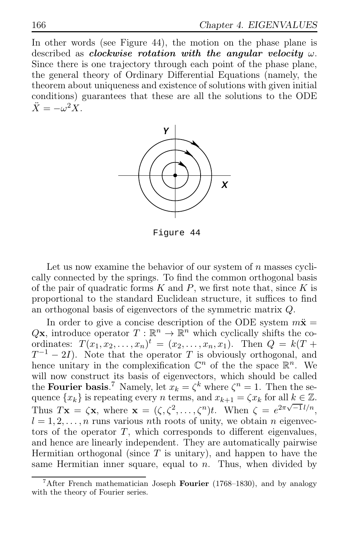In other words (see Figure 44), the motion on the phase plane is described as *clockwise* rotation with the angular velocity  $\omega$ . Since there is one trajectory through each point of the phase plane, the general theory of Ordinary Differential Equations (namely, the theorem about uniqueness and existence of solutions with given initial conditions) guarantees that these are all the solutions to the ODE  $\ddot{X} = -\omega^2 X.$ 



Figure 44

Let us now examine the behavior of our system of  $n$  masses cyclically connected by the springs. To find the common orthogonal basis of the pair of quadratic forms  $K$  and  $P$ , we first note that, since  $K$  is proportional to the standard Euclidean structure, it suffices to find an orthogonal basis of eigenvectors of the symmetric matrix Q.

In order to give a concise description of the ODE system  $m\ddot{x}$  =  $Q\mathbf{x}$ , introduce operator  $T: \mathbb{R}^n \to \mathbb{R}^n$  which cyclically shifts the coordinates:  $T(x_1, x_2, ..., x_n)^t = (x_2, ..., x_n, x_1)$ . Then  $Q = k(T +$  $T^{-1} - 2I$ ). Note that the operator T is obviously orthogonal, and hence unitary in the complexification  $\mathbb{C}^n$  of the the space  $\mathbb{R}^n$ . We will now construct its basis of eigenvectors, which should be called the **Fourier basis**.<sup>7</sup> Namely, let  $x_k = \zeta^k$  where  $\zeta^n = 1$ . Then the sequence  $\{x_k\}$  is repeating every n terms, and  $x_{k+1} = \zeta x_k$  for all  $k \in \mathbb{Z}$ . Thus  $T\mathbf{x} = \zeta \mathbf{x}$ , where  $\mathbf{x} = (\zeta, \zeta^2, \dots, \zeta^n)t$ . When  $\zeta = e^{2\pi\sqrt{-1}l/n}$ ,  $l = 1, 2, \ldots, n$  runs various nth roots of unity, we obtain n eigenvectors of the operator  $T$ , which corresponds to different eigenvalues, and hence are linearly independent. They are automatically pairwise Hermitian orthogonal (since  $T$  is unitary), and happen to have the same Hermitian inner square, equal to  $n$ . Thus, when divided by

<sup>&</sup>lt;sup>7</sup>After French mathematician Joseph Fourier (1768–1830), and by analogy with the theory of Fourier series.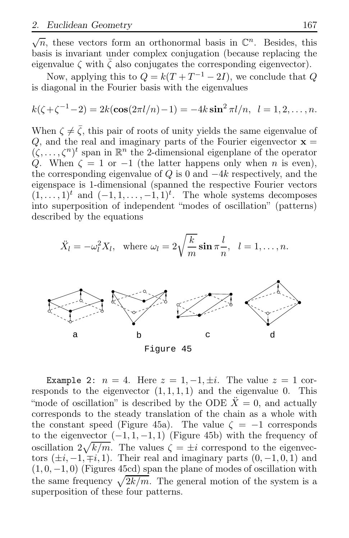$\sqrt{n}$ , these vectors form an orthonormal basis in  $\mathbb{C}^n$ . Besides, this basis is invariant under complex conjugation (because replacing the eigenvalue  $\zeta$  with  $\zeta$  also conjugates the corresponding eigenvector).

Now, applying this to  $Q = k(T + T^{-1} - 2I)$ , we conclude that  $Q$ is diagonal in the Fourier basis with the eigenvalues

$$
k(\zeta + \zeta^{-1} - 2) = 2k(\cos(2\pi l/n) - 1) = -4k\sin^2 \pi l/n, \quad l = 1, 2, \dots, n.
$$

When  $\zeta \neq \bar{\zeta}$ , this pair of roots of unity yields the same eigenvalue of Q, and the real and imaginary parts of the Fourier eigenvector  $x =$  $(\zeta, \ldots, \zeta^n)^t$  span in  $\mathbb{R}^n$  the 2-dimensional eigenplane of the operator Q. When  $\zeta = 1$  or  $-1$  (the latter happens only when n is even), the corresponding eigenvalue of Q is 0 and  $-4k$  respectively, and the eigenspace is 1-dimensional (spanned the respective Fourier vectors  $(1, \ldots, 1)^t$  and  $(-1, 1, \ldots, -1, 1)^t$ . The whole systems decomposes into superposition of independent "modes of oscillation" (patterns) described by the equations

$$
\ddot{X}_l = -\omega_l^2 X_l, \text{ where } \omega_l = 2\sqrt{\frac{k}{m}} \sin \pi \frac{l}{n}, \quad l = 1, \dots, n.
$$



Example 2:  $n = 4$ . Here  $z = 1, -1, \pm i$ . The value  $z = 1$  corresponds to the eigenvector  $(1, 1, 1, 1)$  and the eigenvalue 0. This "mode of oscillation" is described by the ODE  $\ddot{X} = 0$ , and actually corresponds to the steady translation of the chain as a whole with the constant speed (Figure 45a). The value  $\zeta = -1$  corresponds to the eigenvector  $(-1, 1, -1, 1)$  (Figure 45b) with the frequency of oscillation  $2\sqrt{k/m}$ . The values  $\zeta = \pm i$  correspond to the eigenvectors  $(\pm i, -1, \mp i, 1)$ . Their real and imaginary parts  $(0, -1, 0, 1)$  and  $(1, 0, -1, 0)$  (Figures 45cd) span the plane of modes of oscillation with the same frequency  $\sqrt{2k/m}$ . The general motion of the system is a superposition of these four patterns.